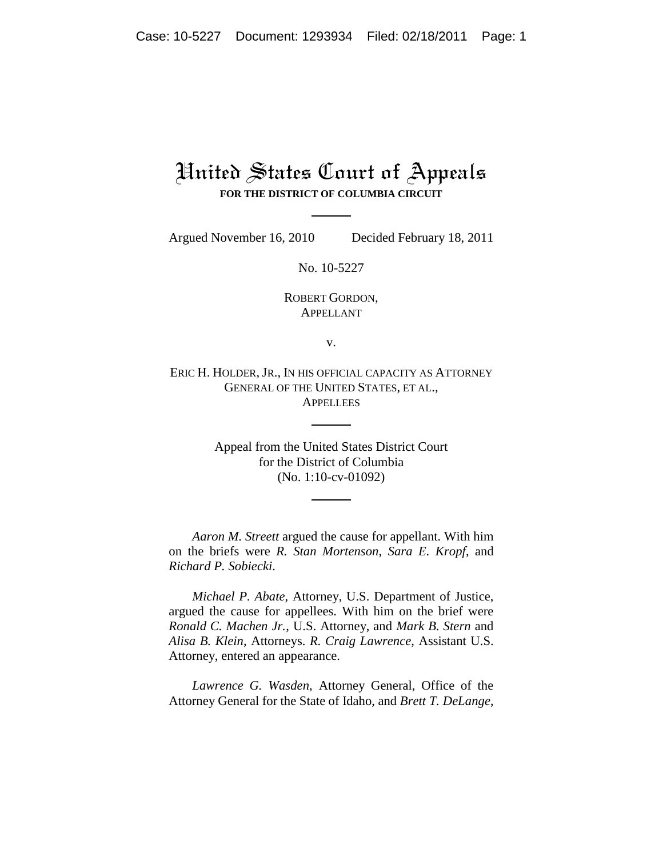## United States Court of Appeals **FOR THE DISTRICT OF COLUMBIA CIRCUIT**

Argued November 16, 2010 Decided February 18, 2011

No. 10-5227

ROBERT GORDON, APPELLANT

v.

ERIC H. HOLDER, JR., IN HIS OFFICIAL CAPACITY AS ATTORNEY GENERAL OF THE UNITED STATES, ET AL., **APPELLEES** 

> Appeal from the United States District Court for the District of Columbia (No. 1:10-cv-01092)

*Aaron M. Streett* argued the cause for appellant. With him on the briefs were *R. Stan Mortenson*, *Sara E. Kropf*, and *Richard P. Sobiecki*.

*Michael P. Abate*, Attorney, U.S. Department of Justice, argued the cause for appellees. With him on the brief were *Ronald C. Machen Jr.*, U.S. Attorney, and *Mark B. Stern* and *Alisa B. Klein*, Attorneys. *R. Craig Lawrence*, Assistant U.S. Attorney, entered an appearance.

*Lawrence G. Wasden*, Attorney General, Office of the Attorney General for the State of Idaho, and *Brett T. DeLange*,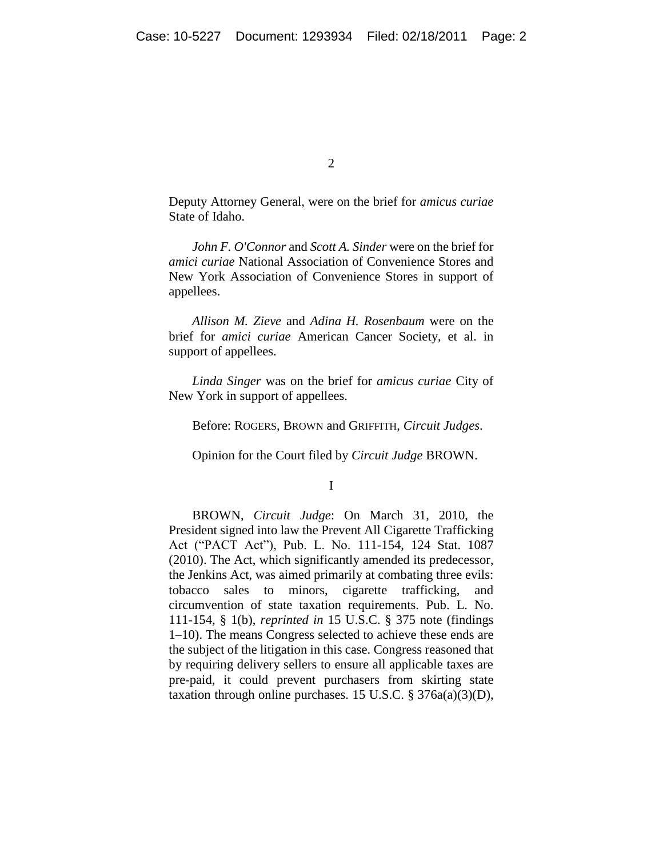$\mathcal{L}$ 

Deputy Attorney General, were on the brief for *amicus curiae*  State of Idaho.

*John F. O'Connor* and *Scott A. Sinder* were on the brief for *amici curiae* National Association of Convenience Stores and New York Association of Convenience Stores in support of appellees.

*Allison M. Zieve* and *Adina H. Rosenbaum* were on the brief for *amici curiae* American Cancer Society, et al. in support of appellees.

*Linda Singer* was on the brief for *amicus curiae* City of New York in support of appellees.

Before: ROGERS, BROWN and GRIFFITH, *Circuit Judges*.

Opinion for the Court filed by *Circuit Judge* BROWN.

I

BROWN, *Circuit Judge*: On March 31, 2010, the President signed into law the Prevent All Cigarette Trafficking Act ("PACT Act"), Pub. L. No. 111-154, 124 Stat. 1087 (2010). The Act, which significantly amended its predecessor, the Jenkins Act, was aimed primarily at combating three evils: tobacco sales to minors, cigarette trafficking, and circumvention of state taxation requirements. Pub. L. No. 111-154, § 1(b), *reprinted in* 15 U.S.C. § 375 note (findings 1–10). The means Congress selected to achieve these ends are the subject of the litigation in this case. Congress reasoned that by requiring delivery sellers to ensure all applicable taxes are pre-paid, it could prevent purchasers from skirting state taxation through online purchases. 15 U.S.C.  $\S 376a(a)(3)(D)$ ,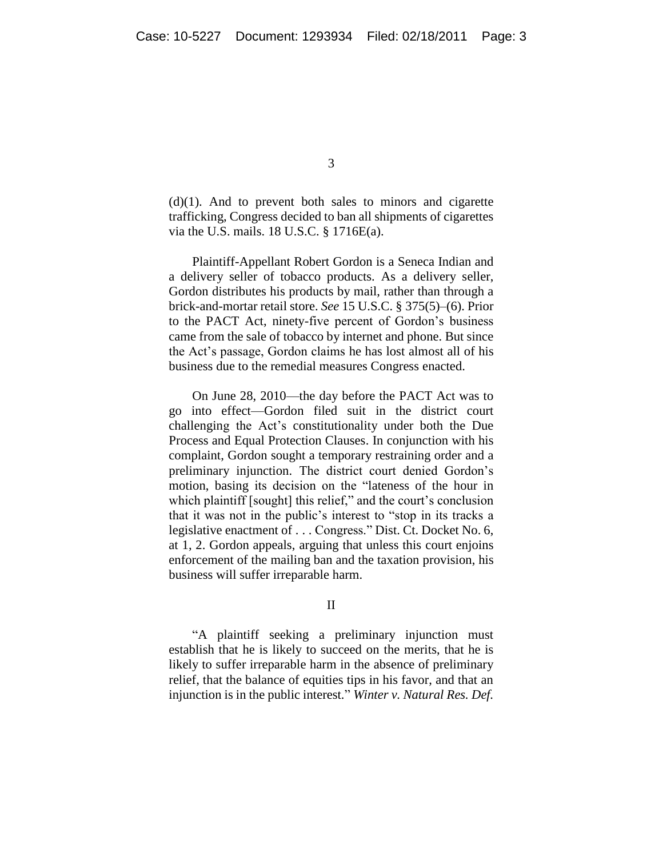$(d)(1)$ . And to prevent both sales to minors and cigarette trafficking, Congress decided to ban all shipments of cigarettes via the U.S. mails. 18 U.S.C. § 1716E(a).

Plaintiff-Appellant Robert Gordon is a Seneca Indian and a delivery seller of tobacco products. As a delivery seller, Gordon distributes his products by mail, rather than through a brick-and-mortar retail store. *See* 15 U.S.C. § 375(5)–(6). Prior to the PACT Act, ninety-five percent of Gordon's business came from the sale of tobacco by internet and phone. But since the Act's passage, Gordon claims he has lost almost all of his business due to the remedial measures Congress enacted.

On June 28, 2010—the day before the PACT Act was to go into effect—Gordon filed suit in the district court challenging the Act's constitutionality under both the Due Process and Equal Protection Clauses. In conjunction with his complaint, Gordon sought a temporary restraining order and a preliminary injunction. The district court denied Gordon's motion, basing its decision on the "lateness of the hour in which plaintiff [sought] this relief," and the court's conclusion that it was not in the public's interest to "stop in its tracks a legislative enactment of . . . Congress." Dist. Ct. Docket No. 6, at 1, 2. Gordon appeals, arguing that unless this court enjoins enforcement of the mailing ban and the taxation provision, his business will suffer irreparable harm.

II

―A plaintiff seeking a preliminary injunction must establish that he is likely to succeed on the merits, that he is likely to suffer irreparable harm in the absence of preliminary relief, that the balance of equities tips in his favor, and that an injunction is in the public interest." *Winter v. Natural Res. Def.*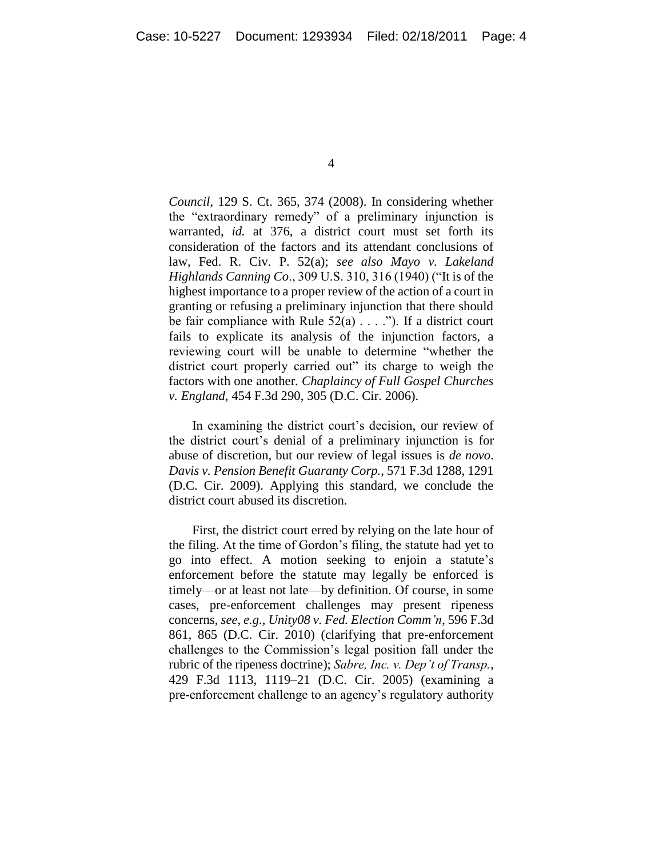*Council*, 129 S. Ct. 365, 374 (2008). In considering whether the "extraordinary remedy" of a preliminary injunction is warranted, *id.* at 376, a district court must set forth its consideration of the factors and its attendant conclusions of law, Fed. R. Civ. P. 52(a); *see also Mayo v. Lakeland Highlands Canning Co.*, 309 U.S. 310, 316 (1940) ("It is of the highest importance to a proper review of the action of a court in granting or refusing a preliminary injunction that there should be fair compliance with Rule  $52(a)$ ...."). If a district court fails to explicate its analysis of the injunction factors, a reviewing court will be unable to determine "whether the district court properly carried out" its charge to weigh the factors with one another. *Chaplaincy of Full Gospel Churches v. England*, 454 F.3d 290, 305 (D.C. Cir. 2006).

In examining the district court's decision, our review of the district court's denial of a preliminary injunction is for abuse of discretion, but our review of legal issues is *de novo*. *Davis v. Pension Benefit Guaranty Corp.*, 571 F.3d 1288, 1291 (D.C. Cir. 2009). Applying this standard, we conclude the district court abused its discretion.

First, the district court erred by relying on the late hour of the filing. At the time of Gordon's filing, the statute had yet to go into effect. A motion seeking to enjoin a statute's enforcement before the statute may legally be enforced is timely—or at least not late—by definition. Of course, in some cases, pre-enforcement challenges may present ripeness concerns, *see, e.g.*, *Unity08 v. Fed. Election Comm'n*, 596 F.3d 861, 865 (D.C. Cir. 2010) (clarifying that pre-enforcement challenges to the Commission's legal position fall under the rubric of the ripeness doctrine); *Sabre, Inc. v. Dep't of Transp.*, 429 F.3d 1113, 1119–21 (D.C. Cir. 2005) (examining a pre-enforcement challenge to an agency's regulatory authority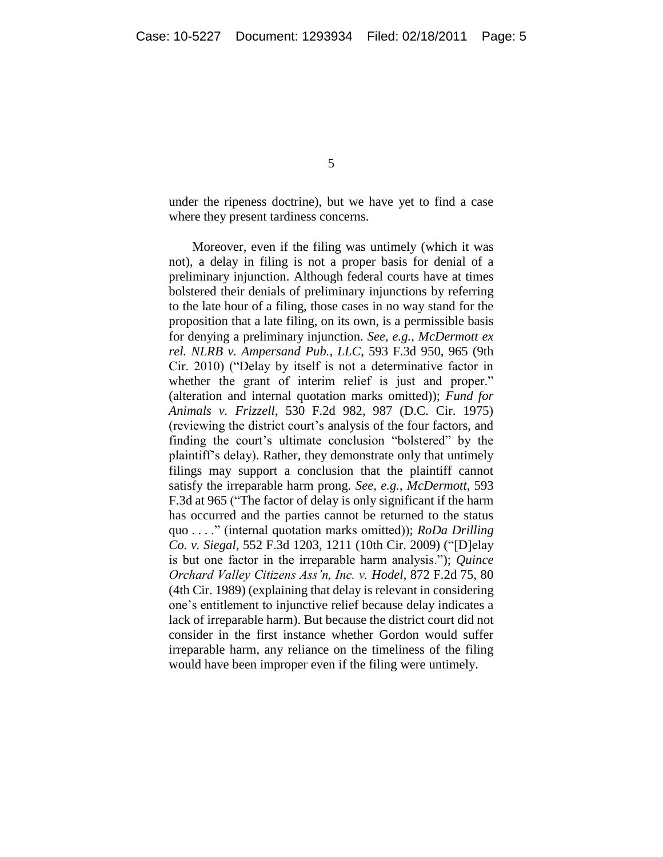under the ripeness doctrine), but we have yet to find a case where they present tardiness concerns.

Moreover, even if the filing was untimely (which it was not), a delay in filing is not a proper basis for denial of a preliminary injunction. Although federal courts have at times bolstered their denials of preliminary injunctions by referring to the late hour of a filing, those cases in no way stand for the proposition that a late filing, on its own, is a permissible basis for denying a preliminary injunction. *See, e.g.*, *McDermott ex rel. NLRB v. Ampersand Pub., LLC*, 593 F.3d 950, 965 (9th Cir. 2010) ("Delay by itself is not a determinative factor in whether the grant of interim relief is just and proper." (alteration and internal quotation marks omitted)); *Fund for Animals v. Frizzell*, 530 F.2d 982, 987 (D.C. Cir. 1975) (reviewing the district court's analysis of the four factors, and finding the court's ultimate conclusion "bolstered" by the plaintiff's delay). Rather, they demonstrate only that untimely filings may support a conclusion that the plaintiff cannot satisfy the irreparable harm prong. *See, e.g.*, *McDermott*, 593 F.3d at 965 ("The factor of delay is only significant if the harm has occurred and the parties cannot be returned to the status quo . . . ." (internal quotation marks omitted)); *RoDa Drilling Co. v. Siegal*, 552 F.3d 1203, 1211 (10th Cir. 2009) ("[D]elay is but one factor in the irreparable harm analysis."); *Quince Orchard Valley Citizens Ass'n, Inc. v. Hodel*, 872 F.2d 75, 80 (4th Cir. 1989) (explaining that delay is relevant in considering one's entitlement to injunctive relief because delay indicates a lack of irreparable harm). But because the district court did not consider in the first instance whether Gordon would suffer irreparable harm, any reliance on the timeliness of the filing would have been improper even if the filing were untimely.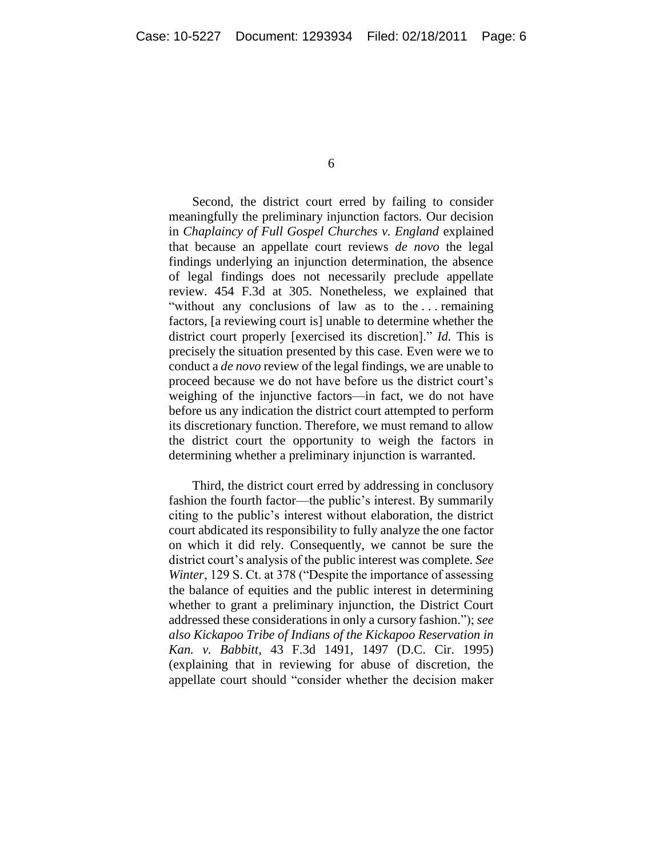Second, the district court erred by failing to consider meaningfully the preliminary injunction factors. Our decision in *Chaplaincy of Full Gospel Churches v. England* explained that because an appellate court reviews *de novo* the legal findings underlying an injunction determination, the absence of legal findings does not necessarily preclude appellate review. 454 F.3d at 305. Nonetheless, we explained that "without any conclusions of law as to the ... remaining factors, [a reviewing court is] unable to determine whether the district court properly [exercised its discretion]." *Id.* This is precisely the situation presented by this case. Even were we to conduct a *de novo* review of the legal findings, we are unable to proceed because we do not have before us the district court's weighing of the injunctive factors—in fact, we do not have before us any indication the district court attempted to perform its discretionary function. Therefore, we must remand to allow the district court the opportunity to weigh the factors in determining whether a preliminary injunction is warranted.

Third, the district court erred by addressing in conclusory fashion the fourth factor—the public's interest. By summarily citing to the public's interest without elaboration, the district court abdicated its responsibility to fully analyze the one factor on which it did rely. Consequently, we cannot be sure the district court's analysis of the public interest was complete. *See Winter*, 129 S. Ct. at 378 ("Despite the importance of assessing the balance of equities and the public interest in determining whether to grant a preliminary injunction, the District Court addressed these considerations in only a cursory fashion."); *see also Kickapoo Tribe of Indians of the Kickapoo Reservation in Kan. v. Babbitt*, 43 F.3d 1491, 1497 (D.C. Cir. 1995) (explaining that in reviewing for abuse of discretion, the appellate court should "consider whether the decision maker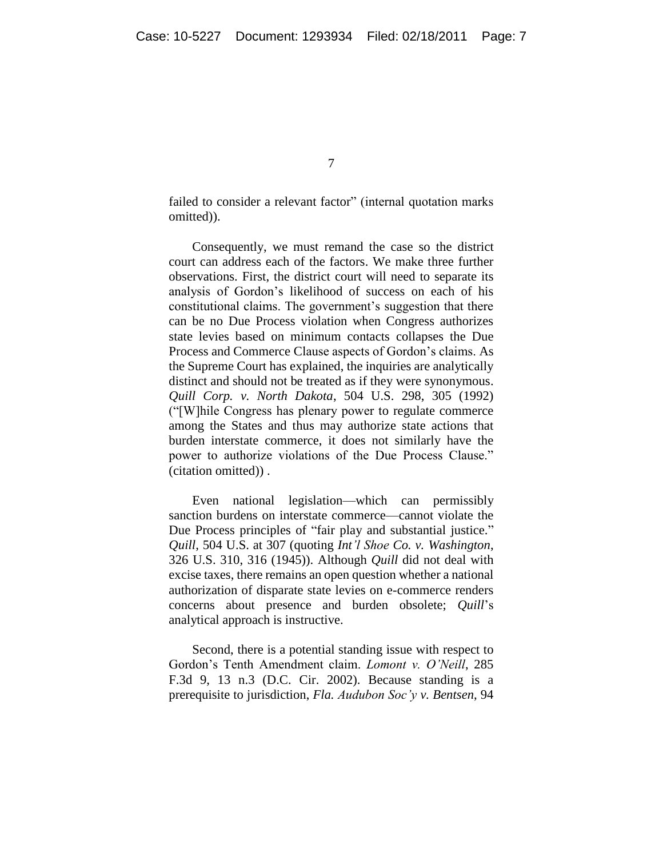failed to consider a relevant factor" (internal quotation marks omitted)).

Consequently, we must remand the case so the district court can address each of the factors. We make three further observations. First, the district court will need to separate its analysis of Gordon's likelihood of success on each of his constitutional claims. The government's suggestion that there can be no Due Process violation when Congress authorizes state levies based on minimum contacts collapses the Due Process and Commerce Clause aspects of Gordon's claims. As the Supreme Court has explained, the inquiries are analytically distinct and should not be treated as if they were synonymous. *Quill Corp. v. North Dakota*, 504 U.S. 298, 305 (1992) (―[W]hile Congress has plenary power to regulate commerce among the States and thus may authorize state actions that burden interstate commerce, it does not similarly have the power to authorize violations of the Due Process Clause." (citation omitted)) .

Even national legislation—which can permissibly sanction burdens on interstate commerce—cannot violate the Due Process principles of "fair play and substantial justice." *Quill*, 504 U.S. at 307 (quoting *Int'l Shoe Co. v. Washington*, 326 U.S. 310, 316 (1945)). Although *Quill* did not deal with excise taxes, there remains an open question whether a national authorization of disparate state levies on e-commerce renders concerns about presence and burden obsolete; *Quill*'s analytical approach is instructive.

Second, there is a potential standing issue with respect to Gordon's Tenth Amendment claim. *Lomont v. O'Neill*, 285 F.3d 9, 13 n.3 (D.C. Cir. 2002). Because standing is a prerequisite to jurisdiction, *Fla. Audubon Soc'y v. Bentsen*, 94